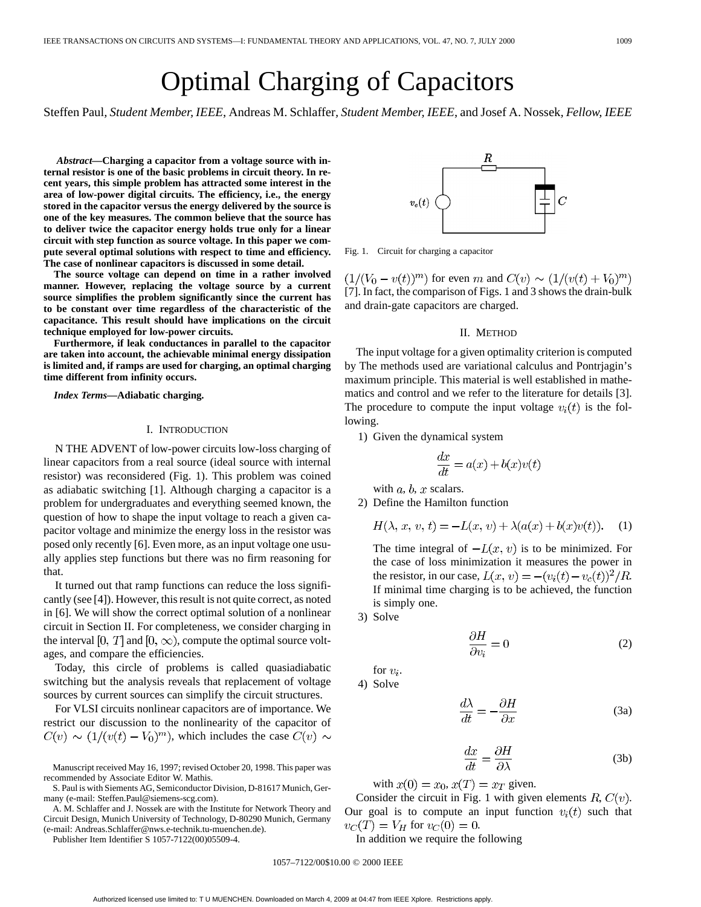# Optimal Charging of Capacitors

Steffen Paul*, Student Member, IEEE*, Andreas M. Schlaffer*, Student Member, IEEE*, and Josef A. Nossek*, Fellow, IEEE*

*Abstract—***Charging a capacitor from a voltage source with internal resistor is one of the basic problems in circuit theory. In recent years, this simple problem has attracted some interest in the area of low-power digital circuits. The efficiency, i.e., the energy stored in the capacitor versus the energy delivered by the source is one of the key measures. The common believe that the source has to deliver twice the capacitor energy holds true only for a linear circuit with step function as source voltage. In this paper we compute several optimal solutions with respect to time and efficiency. The case of nonlinear capacitors is discussed in some detail.**

**The source voltage can depend on time in a rather involved manner. However, replacing the voltage source by a current source simplifies the problem significantly since the current has to be constant over time regardless of the characteristic of the capacitance. This result should have implications on the circuit technique employed for low-power circuits.**

**Furthermore, if leak conductances in parallel to the capacitor are taken into account, the achievable minimal energy dissipation is limited and, if ramps are used for charging, an optimal charging time different from infinity occurs.**

*Index Terms—***Adiabatic charging.**

### I. INTRODUCTION

N THE ADVENT of low-power circuits low-loss charging of linear capacitors from a real source (ideal source with internal resistor) was reconsidered (Fig. 1). This problem was coined as adiabatic switching [1]. Although charging a capacitor is a problem for undergraduates and everything seemed known, the question of how to shape the input voltage to reach a given capacitor voltage and minimize the energy loss in the resistor was posed only recently [6]. Even more, as an input voltage one usually applies step functions but there was no firm reasoning for that.

It turned out that ramp functions can reduce the loss significantly (see [4]). However, this result is not quite correct, as noted in [6]. We will show the correct optimal solution of a nonlinear circuit in Section II. For completeness, we consider charging in the interval [0, T] and [0,  $\infty$ ), compute the optimal source voltages, and compare the efficiencies.

Today, this circle of problems is called quasiadiabatic switching but the analysis reveals that replacement of voltage sources by current sources can simplify the circuit structures.

For VLSI circuits nonlinear capacitors are of importance. We restrict our discussion to the nonlinearity of the capacitor of  $C(v) \sim (1/(v(t) - V_0)^m)$ , which includes the case  $C(v) \sim$ 

Manuscript received May 16, 1997; revised October 20, 1998. This paper was recommended by Associate Editor W. Mathis.

S. Paul is with Siements AG, Semiconductor Division, D-81617 Munich, Germany (e-mail: Steffen.Paul@siemens-scg.com).

A. M. Schlaffer and J. Nossek are with the Institute for Network Theory and Circuit Design, Munich University of Technology, D-80290 Munich, Germany (e-mail: Andreas.Schlaffer@nws.e-technik.tu-muenchen.de).

Publisher Item Identifier S 1057-7122(00)05509-4.

 $\overline{C}$ 

Fig. 1. Circuit for charging a capacitor

 $(1/(V_0 - v(t))^m)$  for even m and  $C(v) \sim (1/(v(t) + V_0)^m)$ [7]. In fact, the comparison of Figs. 1 and 3 shows the drain-bulk and drain-gate capacitors are charged.

## II. METHOD

The input voltage for a given optimality criterion is computed by The methods used are variational calculus and Pontrjagin's maximum principle. This material is well established in mathematics and control and we refer to the literature for details [3]. The procedure to compute the input voltage  $v_i(t)$  is the following.

1) Given the dynamical system

$$
\frac{dx}{dt} = a(x) + b(x)v(t)
$$

with  $a, b, x$  scalars.

2) Define the Hamilton function

$$
H(\lambda, x, v, t) = -L(x, v) + \lambda(a(x) + b(x)v(t)).
$$
 (1)

The time integral of  $-L(x, v)$  is to be minimized. For the case of loss minimization it measures the power in the resistor, in our case,  $L(x, v) = -(v_i(t) - v_c(t))^2/R$ . If minimal time charging is to be achieved, the function is simply one.

3) Solve

$$
\frac{\partial H}{\partial v_i} = 0\tag{2}
$$

for  $v_i$ .

4) Solve

$$
\frac{d\lambda}{dt} = -\frac{\partial H}{\partial x} \tag{3a}
$$

$$
\frac{dx}{dt} = \frac{\partial H}{\partial \lambda} \tag{3b}
$$

with  $x(0) = x_0$ ,  $x(T) = x_T$  given.

Consider the circuit in Fig. 1 with given elements  $R, C(v)$ . Our goal is to compute an input function  $v_i(t)$  such that  $v_C(T) = V_H$  for  $v_C(0) = 0$ .

In addition we require the following

1057–7122/00\$10.00 © 2000 IEEE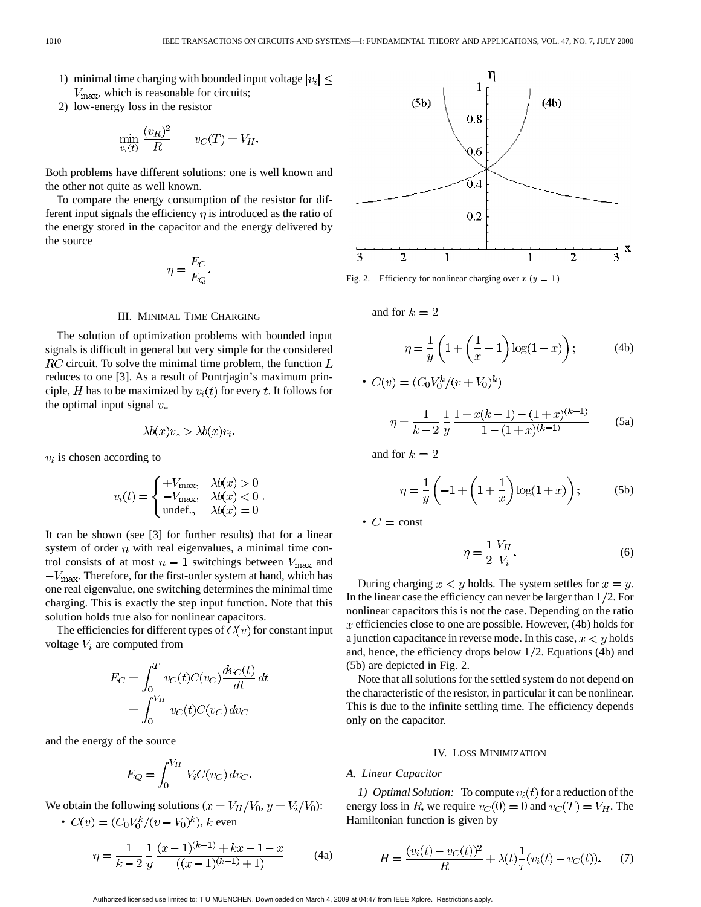- 1) minimal time charging with bounded input voltage  $|v_i| \leq$  $V_{\text{max}}$ , which is reasonable for circuits;
- 2) low-energy loss in the resistor

$$
\min_{v_i(t)} \frac{(v_R)^2}{R} \qquad v_C(T) = V_H
$$

Both problems have different solutions: one is well known and the other not quite as well known.

To compare the energy consumption of the resistor for different input signals the efficiency  $\eta$  is introduced as the ratio of the energy stored in the capacitor and the energy delivered by the source

$$
\eta = \frac{E_C}{E_Q}.
$$

### III. MINIMAL TIME CHARGING

The solution of optimization problems with bounded input signals is difficult in general but very simple for the considered  $RC$  circuit. To solve the minimal time problem, the function  $L$ reduces to one [3]. As a result of Pontrjagin's maximum principle, H has to be maximized by  $v_i(t)$  for every t. It follows for the optimal input signal  $v_*$ 

$$
\lambda b(x)v_* > \lambda b(x)v_i.
$$

 $v_i$  is chosen according to

$$
v_i(t) = \begin{cases} +V_{\text{max}}, & \lambda b(x) > 0\\ -V_{\text{max}}, & \lambda b(x) < 0\\ \text{undefined}, & \lambda b(x) = 0 \end{cases}.
$$

It can be shown (see [3] for further results) that for a linear system of order  $n$  with real eigenvalues, a minimal time control consists of at most  $n-1$  switchings between  $V_{\text{max}}$  and  $-V_{\text{max}}$ . Therefore, for the first-order system at hand, which has one real eigenvalue, one switching determines the minimal time charging. This is exactly the step input function. Note that this solution holds true also for nonlinear capacitors.

The efficiencies for different types of  $C(v)$  for constant input voltage  $V_i$  are computed from

$$
E_C = \int_0^T v_C(t)C(v_C)\frac{dv_C(t)}{dt} dt
$$
  
= 
$$
\int_0^{V_H} v_C(t)C(v_C) dv_C
$$

and the energy of the source

$$
E_Q = \int_0^{V_H} V_i C(v_C) dv_C.
$$

We obtain the following solutions ( $x = V_H/V_0$ ,  $y = V_i/V_0$ ): •  $C(v) = (C_0 V_0^k / (v - V_0)^k)$ , *k* even

$$
\eta = \frac{1}{k-2} \frac{1}{y} \frac{(x-1)^{(k-1)} + kx - 1 - x}{((x-1)^{(k-1)} + 1)}
$$
(4a)



Fig. 2. Efficiency for nonlinear charging over  $x (y = 1)$ 

and for  $k=2$ 

$$
\eta = \frac{1}{y} \left( 1 + \left( \frac{1}{x} - 1 \right) \log(1 - x) \right); \tag{4b}
$$

$$
C(v) = (C_0 V_0^k / (v + V_0)^k)
$$
  

$$
\eta = \frac{1}{k-2} \frac{1}{y} \frac{1 + x(k-1) - (1+x)^{(k-1)}}{1 - (1+x)^{(k-1)}} \tag{5a}
$$

and for  $k=2$ 

•

$$
\eta = \frac{1}{y} \left( -1 + \left( 1 + \frac{1}{x} \right) \log(1 + x) \right); \tag{5b}
$$

•  $C = \text{const}$ 

$$
\eta = \frac{1}{2} \frac{V_H}{V_i}.\tag{6}
$$

During charging  $x < y$  holds. The system settles for  $x = y$ . In the linear case the efficiency can never be larger than  $1/2$ . For nonlinear capacitors this is not the case. Depending on the ratio  $x$  efficiencies close to one are possible. However, (4b) holds for a junction capacitance in reverse mode. In this case,  $x \leq y$  holds and, hence, the efficiency drops below  $1/2$ . Equations (4b) and (5b) are depicted in Fig. 2.

Note that all solutions for the settled system do not depend on the characteristic of the resistor, in particular it can be nonlinear. This is due to the infinite settling time. The efficiency depends only on the capacitor.

## IV. LOSS MINIMIZATION

# *A. Linear Capacitor*

*1) Optimal Solution:* To compute  $v_i(t)$  for a reduction of the energy loss in R, we require  $v_C(0) = 0$  and  $v_C(T) = V_H$ . The Hamiltonian function is given by

$$
H = \frac{(v_i(t) - v_C(t))^2}{R} + \lambda(t)\frac{1}{\tau}(v_i(t) - v_C(t)).
$$
 (7)

Authorized licensed use limited to: T U MUENCHEN. Downloaded on March 4, 2009 at 04:47 from IEEE Xplore. Restrictions apply.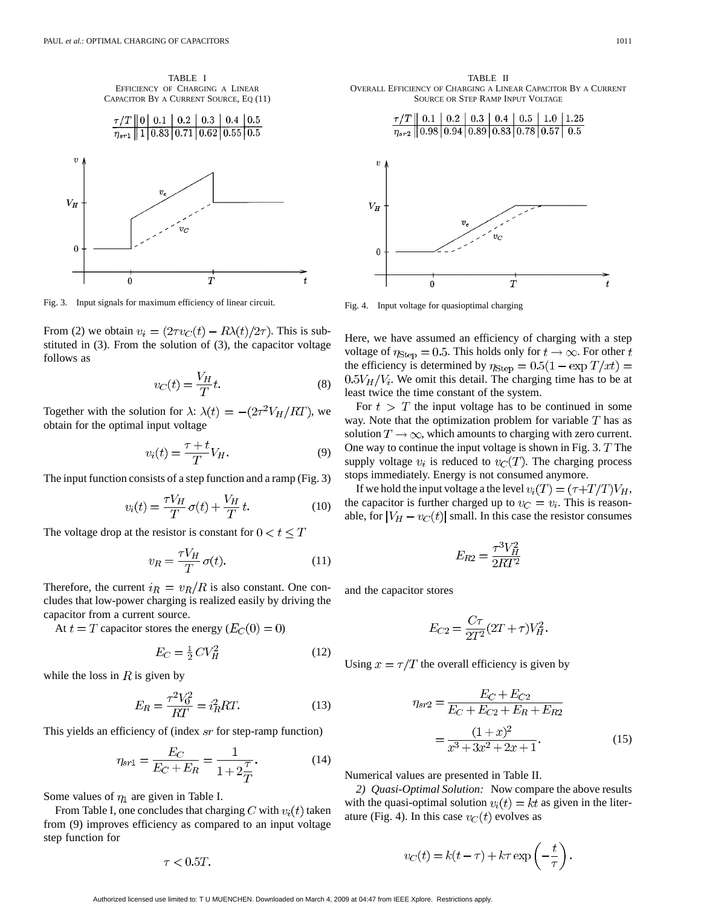TABLE I EFFICIENCY OF CHARGING A LINEAR CAPACITOR BY A CURRENT SOURCE, EQ (11)



Fig. 3. Input signals for maximum efficiency of linear circuit.

From (2) we obtain  $v_i = (2\tau v_C(t) - R\lambda(t)/2\tau)$ . This is substituted in (3). From the solution of (3), the capacitor voltage follows as

$$
v_C(t) = \frac{V_H}{T}t.\tag{8}
$$

Together with the solution for  $\lambda$ :  $\lambda(t) = -(2\tau^2 V_H/RT)$ , we obtain for the optimal input voltage

$$
v_i(t) = \frac{\tau + t}{T} V_H.
$$
\n(9)

The input function consists of a step function and a ramp (Fig. 3)

$$
v_i(t) = \frac{\tau V_H}{T} \sigma(t) + \frac{V_H}{T} t.
$$
 (10)

The voltage drop at the resistor is constant for  $0 < t \leq T$ 

$$
v_R = \frac{\tau V_H}{T} \sigma(t). \tag{11}
$$

Therefore, the current  $i_R = v_R/R$  is also constant. One concludes that low-power charging is realized easily by driving the capacitor from a current source.

At  $t = T$  capacitor stores the energy  $(E_C(0) = 0)$ 

$$
E_C = \frac{1}{2}CV_H^2\tag{12}
$$

while the loss in  $R$  is given by

$$
E_R = \frac{\tau^2 V_0^2}{RT} = i_R^2 RT.
$$
 (13)

This yields an efficiency of (index  $sr$  for step-ramp function)

$$
\eta_{sr1} = \frac{E_C}{E_C + E_R} = \frac{1}{1 + 2\frac{\tau}{T}}.\tag{14}
$$

Some values of  $\eta_1$  are given in Table I.

From Table I, one concludes that charging C with  $v_i(t)$  taken from (9) improves efficiency as compared to an input voltage step function for

$$
\tau < 0.5T
$$
.

TABLE II OVERALL EFFICIENCY OF CHARGING A LINEAR CAPACITOR BY A CURRENT SOURCE OR STEP RAMP INPUT VOLTAGE



Fig. 4. Input voltage for quasioptimal charging

Here, we have assumed an efficiency of charging with a step voltage of  $\eta_{\text{Step}} = 0.5$ . This holds only for  $t \to \infty$ . For other t the efficiency is determined by  $\eta_{\text{Step}} = 0.5(1 - \exp T/xt) =$  $0.5V_H/V_i$ . We omit this detail. The charging time has to be at least twice the time constant of the system.

For  $t > T$  the input voltage has to be continued in some way. Note that the optimization problem for variable  $T$  has as solution  $T \to \infty$ , which amounts to charging with zero current. One way to continue the input voltage is shown in Fig. 3.  $T$  The supply voltage  $v_i$  is reduced to  $v_c(T)$ . The charging process stops immediately. Energy is not consumed anymore.

If we hold the input voltage a the level  $v_i(T) = (\tau + T/T)V_H$ , the capacitor is further charged up to  $v_C = v_i$ . This is reasonable, for  $|V_H - v_C(t)|$  small. In this case the resistor consumes

$$
E_{R2} = \frac{\tau^3 V_H^2}{2RT^2}
$$

and the capacitor stores

$$
E_{C2} = \frac{C\tau}{2T^2} (2T + \tau) V_H^2.
$$

Using  $x = \tau/T$  the overall efficiency is given by

$$
\eta_{sr2} = \frac{E_C + E_{C2}}{E_C + E_{C2} + E_R + E_{R2}}
$$

$$
= \frac{(1+x)^2}{x^3 + 3x^2 + 2x + 1}.
$$
(15)

Numerical values are presented in Table II.

*2) Quasi-Optimal Solution:* Now compare the above results with the quasi-optimal solution  $v_i(t) = kt$  as given in the literature (Fig. 4). In this case  $v<sub>C</sub>(t)$  evolves as

$$
v_C(t) = k(t - \tau) + k\tau \exp\left(-\frac{t}{\tau}\right).
$$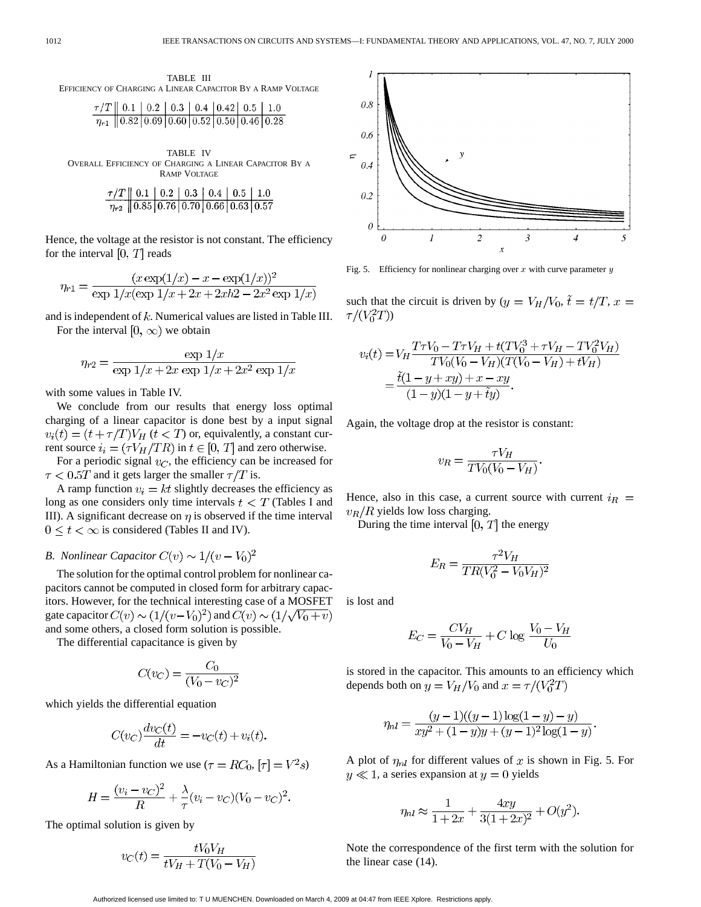$0.8$ 

0.6

 $\epsilon$ 0.4



$$
\frac{\tau/T \parallel 0.1 \parallel 0.2 \parallel 0.3 \parallel 0.4 \parallel 0.42 \parallel 0.5 \parallel 1.0}{\eta_{r1} \parallel 0.82 \parallel 0.69 \parallel 0.60 \parallel 0.52 \parallel 0.50 \parallel 0.46 \parallel 0.28}
$$

 $\sim$ 

 $\sim$ 

TABLE IV OVERALL EFFICIENCY OF CHARGING A LINEAR CAPACITOR BY A RAMP VOLTAGE

$$
\frac{\tau/T \parallel 0.1 \parallel 0.2 \parallel 0.3 \parallel 0.4 \parallel 0.5 \parallel 1.0}{\eta_{r2} \parallel 0.85 \parallel 0.76 \parallel 0.70 \parallel 0.66 \parallel 0.63 \parallel 0.57}
$$

Hence, the voltage at the resistor is not constant. The efficiency for the interval  $[0, T]$  reads

$$
\eta_{r1} = \frac{(x \exp(1/x) - x - \exp(1/x))^2}{\exp(1/x)(\exp(1/x) + 2x + 2xh^2 - 2x^2\exp(1/x))}
$$

and is independent of  $k$ . Numerical values are listed in Table III. For the interval  $[0, \infty)$  we obtain

$$
\eta_{r2} = \frac{\exp 1/x}{\exp 1/x + 2x \exp 1/x + 2x^2 \exp 1/x}
$$

with some values in Table IV.

 $\sim 100$  km  $^{-1}$ 

 $\sim$ 

 $\sim$ 

We conclude from our results that energy loss optimal charging of a linear capacitor is done best by a input signal  $v_i(t) = (t + \tau/T)V_H$   $(t < T)$  or, equivalently, a constant current source  $i_i = (\tau V_H / TR)$  in  $t \in [0, T]$  and zero otherwise.

For a periodic signal  $v_C$ , the efficiency can be increased for  $\tau$  < 0.5T and it gets larger the smaller  $\tau/T$  is.

A ramp function  $v_i = kt$  slightly decreases the efficiency as long as one considers only time intervals  $t < T$  (Tables I and III). A significant decrease on  $\eta$  is observed if the time interval  $0 \le t < \infty$  is considered (Tables II and IV).

# *B. Nonlinear Capacitor*  $C(v) \sim 1/(v - V_0)^2$

The solution for the optimal control problem for nonlinear capacitors cannot be computed in closed form for arbitrary capacitors. However, for the technical interesting case of a MOSFET gate capacitor  $C(v) \sim (1/(v-V_0)^2)$  and  $C(v) \sim (1/\sqrt{V_0+v})$ 

and some others, a closed form solution is possible.

The differential capacitance is given by

$$
C(v_C) = \frac{C_0}{(V_0 - v_C)^2}
$$

which yields the differential equation

$$
C(v_C)\frac{dv_C(t)}{dt} = -v_C(t) + v_i(t).
$$

As a Hamiltonian function we use  $(\tau = RC_0, [\tau] = V^2s)$ 

$$
H = \frac{(v_i - v_C)^2}{R} + \frac{\lambda}{\tau}(v_i - v_C)(V_0 - v_C)^2.
$$

The optimal solution is given by

$$
v_C(t) = \frac{tV_0V_H}{tV_H + T(V_0 - V_H)}
$$



 $\bar{x}$ 

Fig. 5. Efficiency for nonlinear charging over  $x$  with curve parameter  $y$ 

such that the circuit is driven by  $(y = V_H/V_0, \tilde{t} = t/T, x =$  $\tau/(V_0^2T))$ 

$$
v_i(t) = V_H \frac{T\tau V_0 - T\tau V_H + t(TV_0^3 + \tau V_H - TV_0^2 V_H)}{TV_0(V_0 - V_H)(T(V_0 - V_H) + tV_H)}
$$
  
=  $\frac{\tilde{t}(1 - y + xy) + x - xy}{(1 - y)(1 - y + \tilde{t}y)}.$ 

Again, the voltage drop at the resistor is constant:

$$
v_R = \frac{\tau V_H}{TV_0(V_0 - V_H)}.
$$

Hence, also in this case, a current source with current  $i_R$  =  $v_R/R$  yields low loss charging.

During the time interval  $[0, T]$  the energy

$$
E_R = \frac{\tau^2 V_H}{TR(V_0^2 - V_0 V_H)^2}
$$

is lost and

$$
E_C = \frac{CV_H}{V_0 - V_H} + C \log \frac{V_0 - V_H}{U_0}
$$

is stored in the capacitor. This amounts to an efficiency which depends both on  $y = V_H/V_0$  and  $x = \tau/(V_0^2 T)$ 

$$
\eta_{nl} = \frac{(y-1)((y-1)\log(1-y) - y)}{xy^2 + (1-y)y + (y-1)^2 \log(1-y)}
$$

A plot of  $\eta_{nl}$  for different values of x is shown in Fig. 5. For  $y \ll 1$ , a series expansion at  $y = 0$  yields

$$
\eta_{nl} \approx \frac{1}{1+2x} + \frac{4xy}{3(1+2x)^2} + O(y^2)
$$

Note the correspondence of the first term with the solution for the linear case (14).

Authorized licensed use limited to: T U MUENCHEN. Downloaded on March 4, 2009 at 04:47 from IEEE Xplore. Restrictions apply.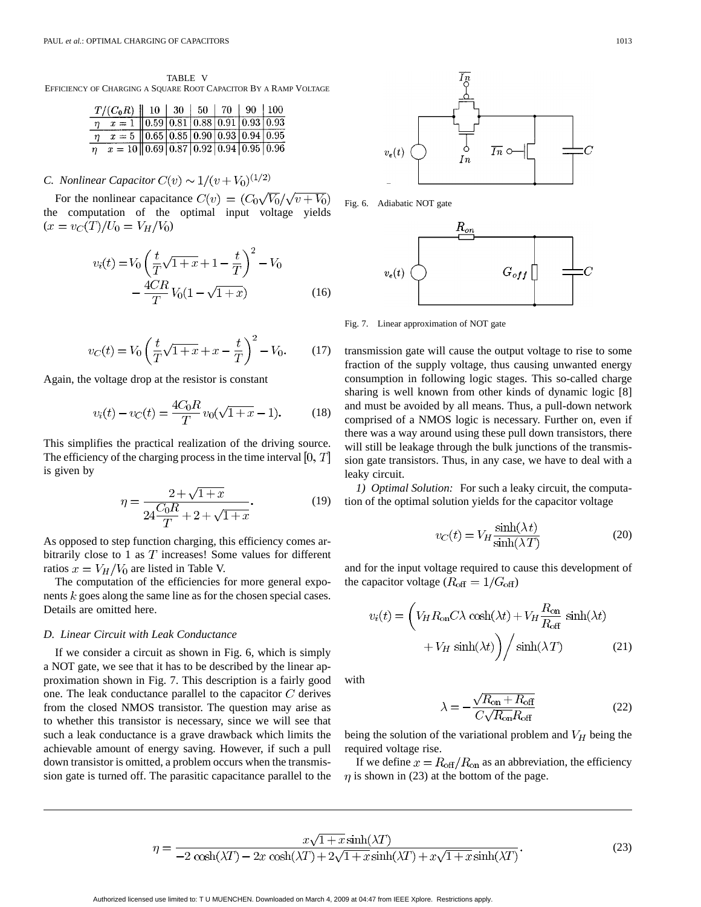TABLE V EFFICIENCY OF CHARGING A SQUARE ROOT CAPACITOR BY A RAMP VOLTAGE

| $T/(C_0R)$   10   30   50   70   90   100                                                         |  |  |  |
|---------------------------------------------------------------------------------------------------|--|--|--|
| $\eta$ $x = 1$   0.59   0.81   0.88   0.91   0.93   0.93                                          |  |  |  |
| $x = 5 \left[ \left. \left  0.65 \right  0.85 \left  0.90 \right  0.93 \right  0.94 \right] 0.95$ |  |  |  |
| $\eta$ $x = 10$ 0.69 0.87 0.92 0.94 0.95 0.96                                                     |  |  |  |

# *C. Nonlinear Capacitor*  $C(v) \sim 1/(v + V_0)^{(1/2)}$

For the nonlinear capacitance  $C(v) = (C_0\sqrt{V_0}/\sqrt{v+V_0})$ the computation of the optimal input voltage yields  $(x = v_C(T)/U_0 = V_H/V_0)$ 

$$
v_i(t) = V_0 \left(\frac{t}{T}\sqrt{1+x} + 1 - \frac{t}{T}\right)^2 - V_0
$$

$$
- \frac{4CR}{T}V_0(1 - \sqrt{1+x})
$$
(16)

$$
v_C(t) = V_0 \left(\frac{t}{T} \sqrt{1+x} + x - \frac{t}{T}\right)^2 - V_0.
$$
 (17)

Again, the voltage drop at the resistor is constant

$$
v_i(t) - v_C(t) = \frac{4C_0R}{T} v_0(\sqrt{1+x} - 1).
$$
 (18)

This simplifies the practical realization of the driving source. The efficiency of the charging process in the time interval  $[0, T]$ is given by

$$
\eta = \frac{2 + \sqrt{1 + x}}{24 \frac{C_0 R}{T} + 2 + \sqrt{1 + x}}.\tag{19}
$$

As opposed to step function charging, this efficiency comes arbitrarily close to 1 as  $T$  increases! Some values for different ratios  $x = V_H/V_0$  are listed in Table V.

The computation of the efficiencies for more general exponents  $k$  goes along the same line as for the chosen special cases. Details are omitted here.

## *D. Linear Circuit with Leak Conductance*

If we consider a circuit as shown in Fig. 6, which is simply a NOT gate, we see that it has to be described by the linear approximation shown in Fig. 7. This description is a fairly good one. The leak conductance parallel to the capacitor  $C$  derives from the closed NMOS transistor. The question may arise as to whether this transistor is necessary, since we will see that such a leak conductance is a grave drawback which limits the achievable amount of energy saving. However, if such a pull down transistor is omitted, a problem occurs when the transmission gate is turned off. The parasitic capacitance parallel to the



Fig. 6. Adiabatic NOT gate



Fig. 7. Linear approximation of NOT gate

transmission gate will cause the output voltage to rise to some fraction of the supply voltage, thus causing unwanted energy consumption in following logic stages. This so-called charge sharing is well known from other kinds of dynamic logic [8] and must be avoided by all means. Thus, a pull-down network comprised of a NMOS logic is necessary. Further on, even if there was a way around using these pull down transistors, there will still be leakage through the bulk junctions of the transmission gate transistors. Thus, in any case, we have to deal with a leaky circuit.

*1) Optimal Solution:* For such a leaky circuit, the computation of the optimal solution yields for the capacitor voltage

$$
v_C(t) = V_H \frac{\sinh(\lambda \, t)}{\sinh(\lambda \, T)}\tag{20}
$$

and for the input voltage required to cause this development of the capacitor voltage ( $R_{\text{off}} = 1/G_{\text{off}}$ )

$$
v_i(t) = \left(V_H R_{on} C \lambda \cosh(\lambda t) + V_H \frac{R_{on}}{R_{off}} \sinh(\lambda t) + V_H \sinh(\lambda t)\right) / \sinh(\lambda T)
$$
 (21)

with

Authorized licensed use limited to: T U MUENCHEN. Downloaded on March 4, 2009 at 04:47 from IEEE Xplore. Restrictions apply.

$$
\lambda = -\frac{\sqrt{R_{\text{on}} + R_{\text{off}}}}{C\sqrt{R_{\text{on}}R_{\text{off}}}}
$$
(22)

being the solution of the variational problem and  $V_H$  being the required voltage rise.

If we define  $x = R_{\text{off}}/R_{\text{on}}$  as an abbreviation, the efficiency  $\eta$  is shown in (23) at the bottom of the page.

$$
\eta = \frac{x\sqrt{1+x}\sinh(\lambda T)}{-2\cosh(\lambda T) - 2x\cosh(\lambda T) + 2\sqrt{1+x}\sinh(\lambda T) + x\sqrt{1+x}\sinh(\lambda T)}.
$$
\n(23)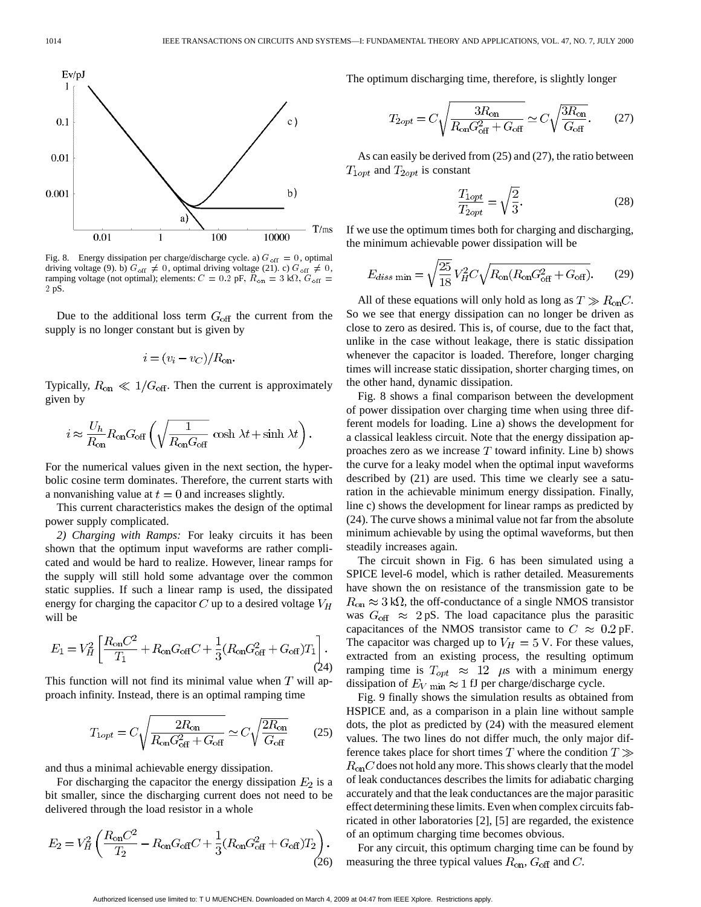

Fig. 8. Energy dissipation per charge/discharge cycle. a)  $G_{\text{off}} = 0$ , optimal driving voltage (9). b)  $G_{\text{off}} \neq 0$ , optimal driving voltage (21). c)  $G_{\text{off}} \neq 0$ , ramping voltage (not optimal); elements:  $C = 0.2$  pF,  $R_{on} = 3$  k $\Omega$ ,  $G_{off} =$ 2 pS.

Due to the additional loss term  $G_{\text{off}}$  the current from the supply is no longer constant but is given by

$$
i = (v_i - v_C)/R_{\text{on}}.
$$

Typically,  $R_{on} \ll 1/G_{off}$ . Then the current is approximately given by

$$
i \approx \frac{U_h}{R_{\rm on}} R_{\rm on} G_{\rm off} \left( \sqrt{\frac{1}{R_{\rm on} G_{\rm off}}} \, \cosh \, \lambda t + \sinh \, \lambda t \right).
$$

For the numerical values given in the next section, the hyperbolic cosine term dominates. Therefore, the current starts with a nonvanishing value at  $t = 0$  and increases slightly.

This current characteristics makes the design of the optimal power supply complicated.

*2) Charging with Ramps:* For leaky circuits it has been shown that the optimum input waveforms are rather complicated and would be hard to realize. However, linear ramps for the supply will still hold some advantage over the common static supplies. If such a linear ramp is used, the dissipated energy for charging the capacitor  $C$  up to a desired voltage  $V_H$ will be

$$
E_1 = V_H^2 \left[ \frac{R_{\rm on}C^2}{T_1} + R_{\rm on}G_{\rm off}C + \frac{1}{3}(R_{\rm on}G_{\rm off}^2 + G_{\rm off})T_1 \right].
$$
\n(24)

This function will not find its minimal value when  $T$  will approach infinity. Instead, there is an optimal ramping time

$$
T_{1opt} = C \sqrt{\frac{2R_{\text{on}}}{R_{\text{on}} G_{\text{off}}^2 + G_{\text{off}}}} \simeq C \sqrt{\frac{2R_{\text{on}}}{G_{\text{off}}}}
$$
(25)

and thus a minimal achievable energy dissipation.

For discharging the capacitor the energy dissipation  $E_2$  is a bit smaller, since the discharging current does not need to be delivered through the load resistor in a whole

$$
E_2 = V_H^2 \left( \frac{R_{\rm on}C^2}{T_2} - R_{\rm on}G_{\rm off}C + \frac{1}{3}(R_{\rm on}G_{\rm off}^2 + G_{\rm off})T_2 \right). \tag{26}
$$

The optimum discharging time, therefore, is slightly longer

$$
T_{2opt} = C \sqrt{\frac{3R_{\text{on}}}{R_{\text{on}}G_{\text{off}}^2 + G_{\text{off}}}} \simeq C \sqrt{\frac{3R_{\text{on}}}{G_{\text{off}}}}.
$$
 (27)

As can easily be derived from (25) and (27), the ratio between  $T_{1opt}$  and  $T_{2opt}$  is constant

$$
\frac{T_{1opt}}{T_{2opt}} = \sqrt{\frac{2}{3}}.\t(28)
$$

If we use the optimum times both for charging and discharging, the minimum achievable power dissipation will be

$$
E_{diss \text{ min}} = \sqrt{\frac{25}{18}} V_H^2 C \sqrt{R_{\text{on}} (R_{\text{on}} G_{\text{off}}^2 + G_{\text{off}})}.
$$
 (29)

All of these equations will only hold as long as  $T \gg R_{on}C$ . So we see that energy dissipation can no longer be driven as close to zero as desired. This is, of course, due to the fact that, unlike in the case without leakage, there is static dissipation whenever the capacitor is loaded. Therefore, longer charging times will increase static dissipation, shorter charging times, on the other hand, dynamic dissipation.

Fig. 8 shows a final comparison between the development of power dissipation over charging time when using three different models for loading. Line a) shows the development for a classical leakless circuit. Note that the energy dissipation approaches zero as we increase  $T$  toward infinity. Line b) shows the curve for a leaky model when the optimal input waveforms described by (21) are used. This time we clearly see a saturation in the achievable minimum energy dissipation. Finally, line c) shows the development for linear ramps as predicted by (24). The curve shows a minimal value not far from the absolute minimum achievable by using the optimal waveforms, but then steadily increases again.

The circuit shown in Fig. 6 has been simulated using a SPICE level-6 model, which is rather detailed. Measurements have shown the on resistance of the transmission gate to be  $R_{\rm on} \approx 3 \text{ k}\Omega$ , the off-conductance of a single NMOS transistor was  $G_{\text{off}} \approx 2 \text{ pS}$ . The load capacitance plus the parasitic capacitances of the NMOS transistor came to  $C \approx 0.2$  pF. The capacitor was charged up to  $V_H = 5$  V. For these values, extracted from an existing process, the resulting optimum ramping time is  $T_{opt} \approx 12$   $\mu$ s with a minimum energy dissipation of  $E_V$  min  $\approx 1$  fJ per charge/discharge cycle.

Fig. 9 finally shows the simulation results as obtained from HSPICE and, as a comparison in a plain line without sample dots, the plot as predicted by (24) with the measured element values. The two lines do not differ much, the only major difference takes place for short times T where the condition  $T \gg$  $R_{on}C$  does not hold any more. This shows clearly that the model of leak conductances describes the limits for adiabatic charging accurately and that the leak conductances are the major parasitic effect determining these limits. Even when complex circuits fabricated in other laboratories [2], [5] are regarded, the existence of an optimum charging time becomes obvious.

For any circuit, this optimum charging time can be found by measuring the three typical values  $R_{on}$ ,  $G_{off}$  and  $C$ .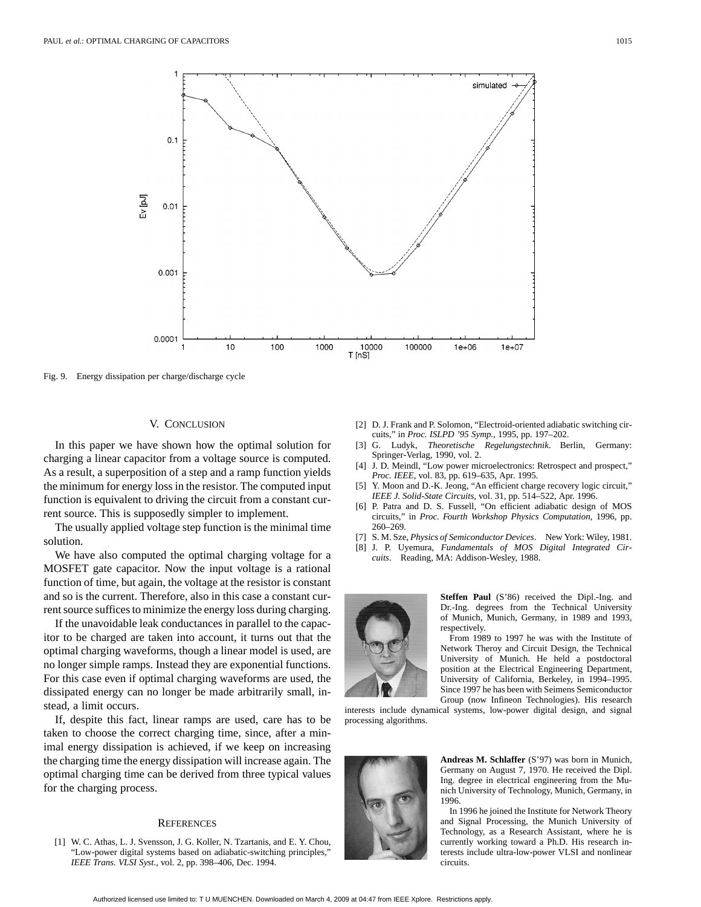

Fig. 9. Energy dissipation per charge/discharge cycle

## V. CONCLUSION

In this paper we have shown how the optimal solution for charging a linear capacitor from a voltage source is computed. As a result, a superposition of a step and a ramp function yields the minimum for energy loss in the resistor. The computed input function is equivalent to driving the circuit from a constant current source. This is supposedly simpler to implement.

The usually applied voltage step function is the minimal time solution.

We have also computed the optimal charging voltage for a MOSFET gate capacitor. Now the input voltage is a rational function of time, but again, the voltage at the resistor is constant and so is the current. Therefore, also in this case a constant current source suffices to minimize the energy loss during charging.

If the unavoidable leak conductances in parallel to the capacitor to be charged are taken into account, it turns out that the optimal charging waveforms, though a linear model is used, are no longer simple ramps. Instead they are exponential functions. For this case even if optimal charging waveforms are used, the dissipated energy can no longer be made arbitrarily small, instead, a limit occurs.

If, despite this fact, linear ramps are used, care has to be taken to choose the correct charging time, since, after a minimal energy dissipation is achieved, if we keep on increasing the charging time the energy dissipation will increase again. The optimal charging time can be derived from three typical values for the charging process.

#### **REFERENCES**

[1] W. C. Athas, L. J. Svensson, J. G. Koller, N. Tzartanis, and E. Y. Chou, "Low-power digital systems based on adiabatic-switching principles," *IEEE Trans. VLSI Syst.*, vol. 2, pp. 398–406, Dec. 1994.

- [2] D. J. Frank and P. Solomon, "Electroid-oriented adiabatic switching circuits," in *Proc. ISLPD '95 Symp.*, 1995, pp. 197–202.
- [3] G. Ludyk, *Theoretische Regelungstechnik*. Berlin, Germany: Springer-Verlag, 1990, vol. 2.
- [4] J. D. Meindl, "Low power microelectronics: Retrospect and prospect," *Proc. IEEE*, vol. 83, pp. 619–635, Apr. 1995.
- [5] Y. Moon and D.-K. Jeong, "An efficient charge recovery logic circuit," *IEEE J. Solid-State Circuits*, vol. 31, pp. 514–522, Apr. 1996.
- [6] P. Patra and D. S. Fussell, "On efficient adiabatic design of MOS circuits," in *Proc. Fourth Workshop Physics Computation*, 1996, pp. 260–269.
- [7] S. M. Sze, *Physics of Semiconductor Devices*. New York: Wiley, 1981.
- [8] J. P. Uyemura, *Fundamentals of MOS Digital Integrated Circuits*. Reading, MA: Addison-Wesley, 1988.



**Steffen Paul** (S'86) received the Dipl.-Ing. and Dr.-Ing. degrees from the Technical University of Munich, Munich, Germany, in 1989 and 1993, respectively.

From 1989 to 1997 he was with the Institute of Network Theroy and Circuit Design, the Technical University of Munich. He held a postdoctoral position at the Electrical Engineering Department, University of California, Berkeley, in 1994–1995. Since 1997 he has been with Seimens Semiconductor Group (now Infineon Technologies). His research

interests include dynamical systems, low-power digital design, and signal processing algorithms.



**Andreas M. Schlaffer** (S'97) was born in Munich, Germany on August 7, 1970. He received the Dipl. Ing. degree in electrical engineering from the Munich University of Technology, Munich, Germany, in 1996.

In 1996 he joined the Institute for Network Theory and Signal Processing, the Munich University of Technology, as a Research Assistant, where he is currently working toward a Ph.D. His research interests include ultra-low-power VLSI and nonlinear circuits.